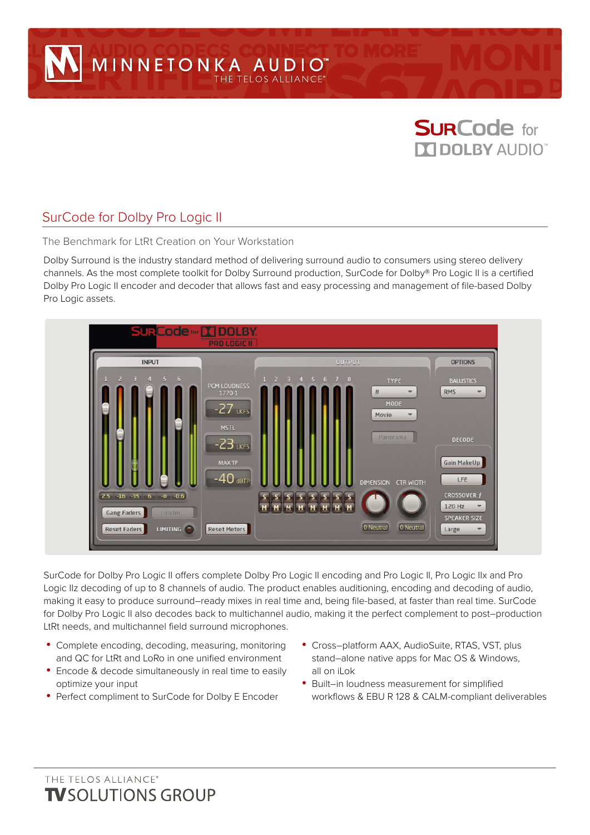

# SurCode for Dolby Pro Logic II

The Benchmark for LtRt Creation on Your Workstation

Dolby Surround is the industry standard method of delivering surround audio to consumers using stereo delivery channels. As the most complete toolkit for Dolby Surround production, SurCode for Dolby® Pro Logic II is a certified Dolby Pro Logic II encoder and decoder that allows fast and easy processing and management of file-based Dolby Pro Logic assets.



SurCode for Dolby Pro Logic II offers complete Dolby Pro Logic II encoding and Pro Logic II, Pro Logic IIx and Pro Logic IIz decoding of up to 8 channels of audio. The product enables auditioning, encoding and decoding of audio, making it easy to produce surround–ready mixes in real time and, being file-based, at faster than real time. SurCode for Dolby Pro Logic II also decodes back to multichannel audio, making it the perfect complement to post–production LtRt needs, and multichannel field surround microphones.

- **•** Complete encoding, decoding, measuring, monitoring and QC for LtRt and LoRo in one unified environment
- **•** Encode & decode simultaneously in real time to easily optimize your input
- **•** Perfect compliment to SurCode for Dolby E Encoder
- **•** Cross–platform AAX, AudioSuite, RTAS, VST, plus stand–alone native apps for Mac OS & Windows, all on iLok
- **•** Built–in loudness measurement for simplified workflows & EBU R 128 & CALM-compliant deliverables